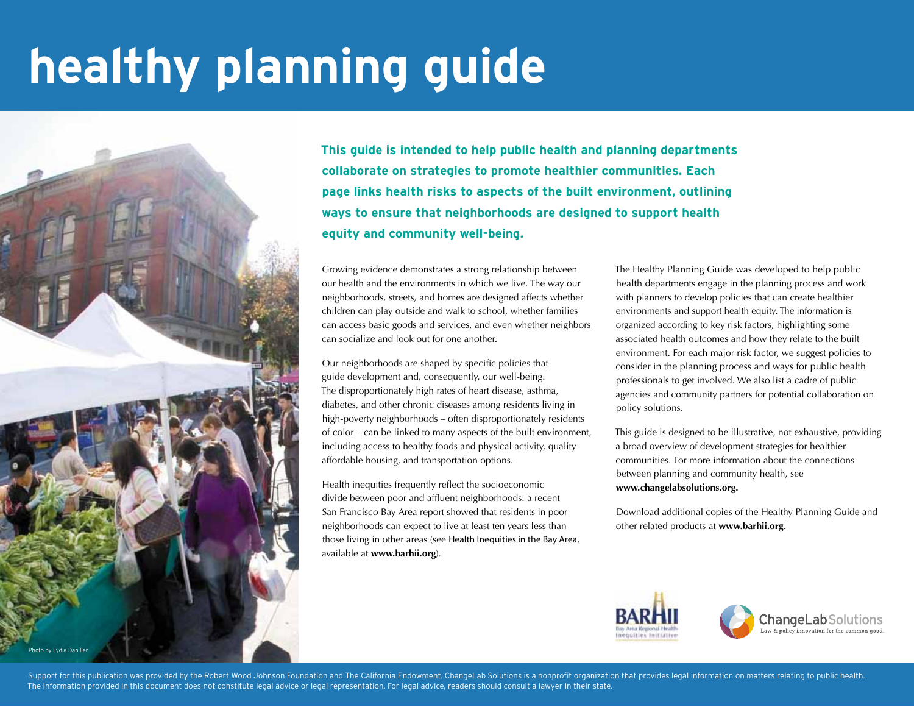# **healthy planning guide**



**This guide is intended to help public health and planning departments collaborate on strategies to promote healthier communities. Each page links health risks to aspects of the built environment, outlining ways to ensure that neighborhoods are designed to support health equity and community well-being.**

Growing evidence demonstrates a strong relationship between our health and the environments in which we live. The way our neighborhoods, streets, and homes are designed affects whether children can play outside and walk to school, whether families can access basic goods and services, and even whether neighbors can socialize and look out for one another.

Our neighborhoods are shaped by specific policies that guide development and, consequently, our well-being. The disproportionately high rates of heart disease, asthma, diabetes, and other chronic diseases among residents living in high-poverty neighborhoods – often disproportionately residents of color – can be linked to many aspects of the built environment, including access to healthy foods and physical activity, quality affordable housing, and transportation options.

Health inequities frequently reflect the socioeconomic divide between poor and affluent neighborhoods: a recent San Francisco Bay Area report showed that residents in poor neighborhoods can expect to live at least ten years less than those living in other areas (see Health Inequities in the Bay Area, available at **www.barhii.org**).

The Healthy Planning Guide was developed to help public health departments engage in the planning process and work with planners to develop policies that can create healthier environments and support health equity. The information is organized according to key risk factors, highlighting some associated health outcomes and how they relate to the built environment. For each major risk factor, we suggest policies to consider in the planning process and ways for public health professionals to get involved. We also list a cadre of public agencies and community partners for potential collaboration on policy solutions.

This guide is designed to be illustrative, not exhaustive, providing a broad overview of development strategies for healthier communities. For more information about the connections between planning and community health, see **www.changelabsolutions.org.**

Download additional copies of the Healthy Planning Guide and other related products at **www.barhii.org**.



Support for this publication was provided by the Robert Wood Johnson Foundation and The California Endowment. ChangeLab Solutions is a nonprofit organization that provides legal information on matters relating to public he The information provided in this document does not constitute legal advice or legal representation. For legal advice, readers should consult a lawyer in their state.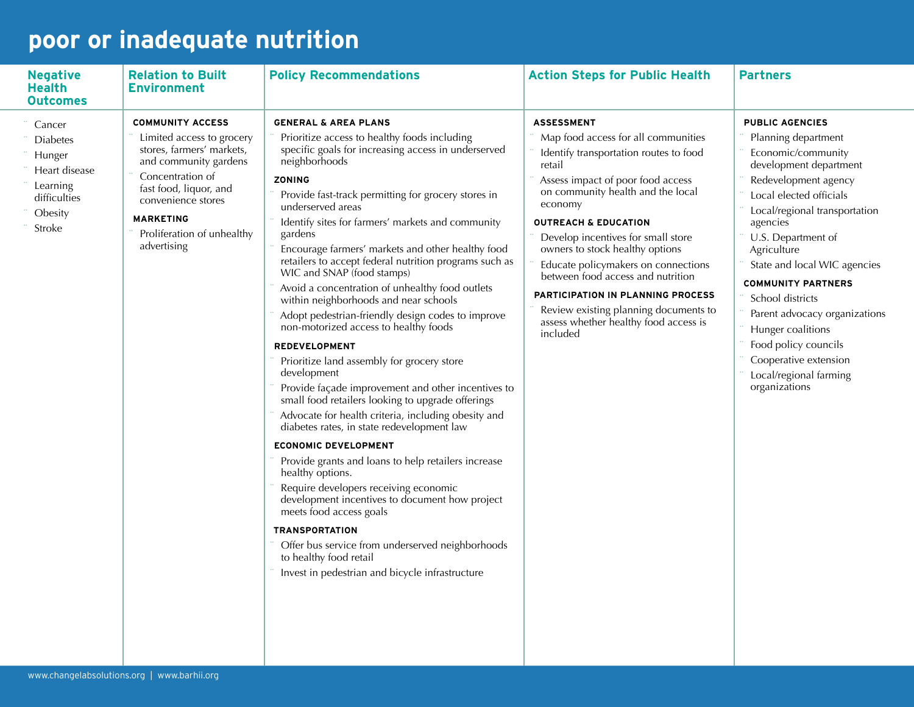## **poor or inadequate nutrition**

| <b>Negative</b><br><b>Health</b><br><b>Outcomes</b>                                                   | <b>Relation to Built</b><br><b>Environment</b>                                                                                                                                                                                                  | <b>Policy Recommendations</b>                                                                                                                                                                                                                                                                                                                                                                                                                                                                                                                                                                                                                                                                                                                                                                                                                                                                                                                                                                                                                                                                                                                                                                                                                                                                                                                       | <b>Action Steps for Public Health</b>                                                                                                                                                                                                                                                                                                                                                                                                                                                                                        | <b>Partners</b>                                                                                                                                                                                                                                                                                                                                                                                                                                                       |
|-------------------------------------------------------------------------------------------------------|-------------------------------------------------------------------------------------------------------------------------------------------------------------------------------------------------------------------------------------------------|-----------------------------------------------------------------------------------------------------------------------------------------------------------------------------------------------------------------------------------------------------------------------------------------------------------------------------------------------------------------------------------------------------------------------------------------------------------------------------------------------------------------------------------------------------------------------------------------------------------------------------------------------------------------------------------------------------------------------------------------------------------------------------------------------------------------------------------------------------------------------------------------------------------------------------------------------------------------------------------------------------------------------------------------------------------------------------------------------------------------------------------------------------------------------------------------------------------------------------------------------------------------------------------------------------------------------------------------------------|------------------------------------------------------------------------------------------------------------------------------------------------------------------------------------------------------------------------------------------------------------------------------------------------------------------------------------------------------------------------------------------------------------------------------------------------------------------------------------------------------------------------------|-----------------------------------------------------------------------------------------------------------------------------------------------------------------------------------------------------------------------------------------------------------------------------------------------------------------------------------------------------------------------------------------------------------------------------------------------------------------------|
| Cancer<br><b>Diabetes</b><br>Hunger<br>Heart disease<br>Learning<br>difficulties<br>Obesity<br>Stroke | <b>COMMUNITY ACCESS</b><br>Limited access to grocery<br>stores, farmers' markets,<br>and community gardens<br>Concentration of<br>fast food, liquor, and<br>convenience stores<br><b>MARKETING</b><br>Proliferation of unhealthy<br>advertising | <b>GENERAL &amp; AREA PLANS</b><br>Prioritize access to healthy foods including<br>specific goals for increasing access in underserved<br>neighborhoods<br>ZONING<br>Provide fast-track permitting for grocery stores in<br>underserved areas<br>Identify sites for farmers' markets and community<br>gardens<br>Encourage farmers' markets and other healthy food<br>retailers to accept federal nutrition programs such as<br>WIC and SNAP (food stamps)<br>Avoid a concentration of unhealthy food outlets<br>within neighborhoods and near schools<br>Adopt pedestrian-friendly design codes to improve<br>non-motorized access to healthy foods<br><b>REDEVELOPMENT</b><br>Prioritize land assembly for grocery store<br>development<br>Provide façade improvement and other incentives to<br>small food retailers looking to upgrade offerings<br>Advocate for health criteria, including obesity and<br>diabetes rates, in state redevelopment law<br><b>ECONOMIC DEVELOPMENT</b><br>Provide grants and loans to help retailers increase<br>healthy options.<br>Require developers receiving economic<br>development incentives to document how project<br>meets food access goals<br><b>TRANSPORTATION</b><br>Offer bus service from underserved neighborhoods<br>to healthy food retail<br>Invest in pedestrian and bicycle infrastructure | <b>ASSESSMENT</b><br>Map food access for all communities<br>Identify transportation routes to food<br>retail<br>Assess impact of poor food access<br>on community health and the local<br>economy<br><b>OUTREACH &amp; EDUCATION</b><br>Develop incentives for small store<br>owners to stock healthy options<br>Educate policymakers on connections<br>between food access and nutrition<br>PARTICIPATION IN PLANNING PROCESS<br>Review existing planning documents to<br>assess whether healthy food access is<br>included | <b>PUBLIC AGENCIES</b><br>Planning department<br>Economic/community<br>development department<br>Redevelopment agency<br>Local elected officials<br>Local/regional transportation<br>agencies<br>U.S. Department of<br>Agriculture<br>State and local WIC agencies<br><b>COMMUNITY PARTNERS</b><br>School districts<br>Parent advocacy organizations<br>Hunger coalitions<br>Food policy councils<br>Cooperative extension<br>Local/regional farming<br>organizations |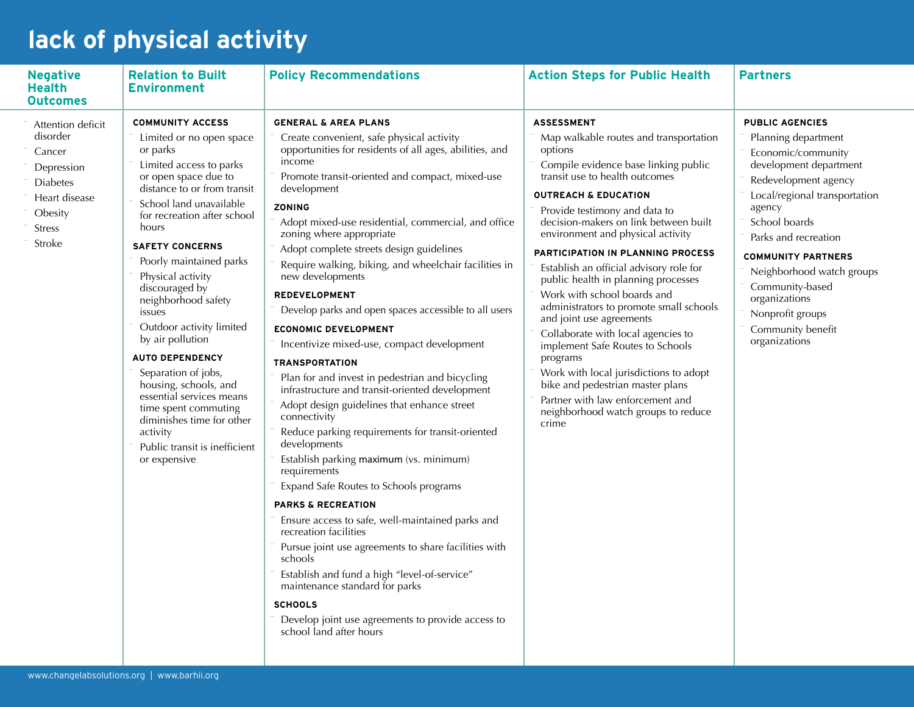## **lack of physical activity**

| <b>Negative</b><br>Health<br><b>Outcomes</b>                                                                                    | <b>Relation to Built</b><br><b>Environment</b>                                                                                                                                                                                                                                                                                                                                                                                                                                                                                                                                                                            | <b>Policy Recommendations</b>                                                                                                                                                                                                                                                                                                                                                                                                                                                                                                                                                                                                                                                                                                                                                                                                                                                                                                                                                                                                                                                                                                                                                                                                                                                                                                                       | <b>Action Steps for Public Health</b>                                                                                                                                                                                                                                                                                                                                                                                                                                                                                                                                                                                                                                                                                                                                                   | <b>Partners</b>                                                                                                                                                                                                                                                                                                                                                   |
|---------------------------------------------------------------------------------------------------------------------------------|---------------------------------------------------------------------------------------------------------------------------------------------------------------------------------------------------------------------------------------------------------------------------------------------------------------------------------------------------------------------------------------------------------------------------------------------------------------------------------------------------------------------------------------------------------------------------------------------------------------------------|-----------------------------------------------------------------------------------------------------------------------------------------------------------------------------------------------------------------------------------------------------------------------------------------------------------------------------------------------------------------------------------------------------------------------------------------------------------------------------------------------------------------------------------------------------------------------------------------------------------------------------------------------------------------------------------------------------------------------------------------------------------------------------------------------------------------------------------------------------------------------------------------------------------------------------------------------------------------------------------------------------------------------------------------------------------------------------------------------------------------------------------------------------------------------------------------------------------------------------------------------------------------------------------------------------------------------------------------------------|-----------------------------------------------------------------------------------------------------------------------------------------------------------------------------------------------------------------------------------------------------------------------------------------------------------------------------------------------------------------------------------------------------------------------------------------------------------------------------------------------------------------------------------------------------------------------------------------------------------------------------------------------------------------------------------------------------------------------------------------------------------------------------------------|-------------------------------------------------------------------------------------------------------------------------------------------------------------------------------------------------------------------------------------------------------------------------------------------------------------------------------------------------------------------|
| Attention deficit<br>disorder<br>Cancer<br>Depression<br><b>Diabetes</b><br>Heart disease<br>Obesity<br><b>Stress</b><br>Stroke | <b>COMMUNITY ACCESS</b><br>Limited or no open space<br>or parks<br>Limited access to parks<br>or open space due to<br>distance to or from transit<br>School land unavailable<br>for recreation after school<br>hours<br><b>SAFETY CONCERNS</b><br>Poorly maintained parks<br>Physical activity<br>discouraged by<br>neighborhood safety<br>issues<br>Outdoor activity limited<br>by air pollution<br><b>AUTO DEPENDENCY</b><br>Separation of jobs,<br>housing, schools, and<br>essential services means<br>time spent commuting<br>diminishes time for other<br>activity<br>Public transit is inefficient<br>or expensive | <b>GENERAL &amp; AREA PLANS</b><br>Create convenient, safe physical activity<br>opportunities for residents of all ages, abilities, and<br>income<br>Promote transit-oriented and compact, mixed-use<br>development<br>ZONING<br>Adopt mixed-use residential, commercial, and office<br>zoning where appropriate<br>Adopt complete streets design guidelines<br>Require walking, biking, and wheelchair facilities in<br>new developments<br><b>REDEVELOPMENT</b><br>Develop parks and open spaces accessible to all users<br><b>ECONOMIC DEVELOPMENT</b><br>Incentivize mixed-use, compact development<br><b>TRANSPORTATION</b><br>Plan for and invest in pedestrian and bicycling<br>infrastructure and transit-oriented development<br>Adopt design guidelines that enhance street<br>connectivity<br>Reduce parking requirements for transit-oriented<br>developments<br>Establish parking maximum (vs. minimum)<br>requirements<br>Expand Safe Routes to Schools programs<br><b>PARKS &amp; RECREATION</b><br>Ensure access to safe, well-maintained parks and<br>recreation facilities<br>Pursue joint use agreements to share facilities with<br>schools<br>Establish and fund a high "level-of-service"<br>maintenance standard for parks<br><b>SCHOOLS</b><br>Develop joint use agreements to provide access to<br>school land after hours | <b>ASSESSMENT</b><br>Map walkable routes and transportation<br>options<br>Compile evidence base linking public<br>transit use to health outcomes<br><b>OUTREACH &amp; EDUCATION</b><br>Provide testimony and data to<br>decision-makers on link between built<br>environment and physical activity<br>PARTICIPATION IN PLANNING PROCESS<br>Establish an official advisory role for<br>public health in planning processes<br>Work with school boards and<br>administrators to promote small schools<br>and joint use agreements<br>Collaborate with local agencies to<br>implement Safe Routes to Schools<br>programs<br>Work with local jurisdictions to adopt<br>bike and pedestrian master plans<br>Partner with law enforcement and<br>neighborhood watch groups to reduce<br>crime | <b>PUBLIC AGENCIES</b><br>Planning department<br>Economic/community<br>development department<br>Redevelopment agency<br>Local/regional transportation<br>agency<br>School boards<br>Parks and recreation<br><b>COMMUNITY PARTNERS</b><br>Neighborhood watch groups<br>Community-based<br>organizations<br>Nonprofit groups<br>Community benefit<br>organizations |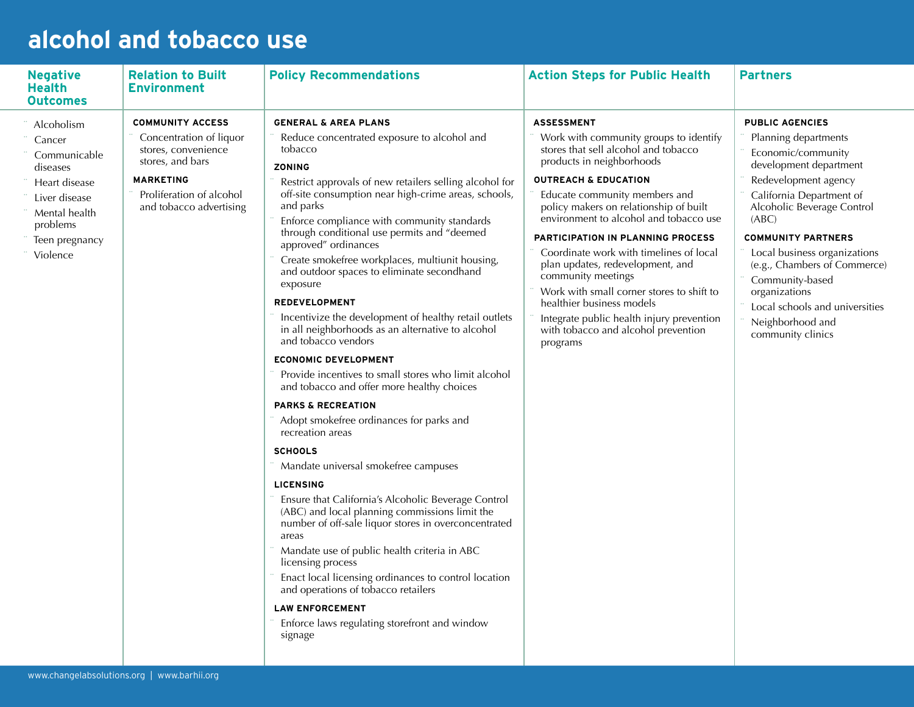#### **alcohol and tobacco use**

| <b>Negative</b><br><b>Health</b><br>Outcomes                                                                                                  | <b>Relation to Built</b><br><b>Environment</b>                                                                                                                           | <b>Policy Recommendations</b>                                                                                                                                                                                                                                                                                                                                                                                                                                                                                                                                                                                                                                                                                                                                                                                                                                                                                                                                                                                                                                                                                                                                                                                                                                                                                                                                                                      | <b>Action Steps for Public Health</b>                                                                                                                                                                                                                                                                                                                                                                                                                                                                                                                                                                        | <b>Partners</b>                                                                                                                                                                                                                                                                                                                                                                                       |
|-----------------------------------------------------------------------------------------------------------------------------------------------|--------------------------------------------------------------------------------------------------------------------------------------------------------------------------|----------------------------------------------------------------------------------------------------------------------------------------------------------------------------------------------------------------------------------------------------------------------------------------------------------------------------------------------------------------------------------------------------------------------------------------------------------------------------------------------------------------------------------------------------------------------------------------------------------------------------------------------------------------------------------------------------------------------------------------------------------------------------------------------------------------------------------------------------------------------------------------------------------------------------------------------------------------------------------------------------------------------------------------------------------------------------------------------------------------------------------------------------------------------------------------------------------------------------------------------------------------------------------------------------------------------------------------------------------------------------------------------------|--------------------------------------------------------------------------------------------------------------------------------------------------------------------------------------------------------------------------------------------------------------------------------------------------------------------------------------------------------------------------------------------------------------------------------------------------------------------------------------------------------------------------------------------------------------------------------------------------------------|-------------------------------------------------------------------------------------------------------------------------------------------------------------------------------------------------------------------------------------------------------------------------------------------------------------------------------------------------------------------------------------------------------|
| Alcoholism<br>Cancer<br>Communicable<br>diseases<br>Heart disease<br>Liver disease<br>Mental health<br>problems<br>Teen pregnancy<br>Violence | <b>COMMUNITY ACCESS</b><br>Concentration of liquor<br>stores, convenience<br>stores, and bars<br><b>MARKETING</b><br>Proliferation of alcohol<br>and tobacco advertising | <b>GENERAL &amp; AREA PLANS</b><br>Reduce concentrated exposure to alcohol and<br>tobacco<br><b>ZONING</b><br>Restrict approvals of new retailers selling alcohol for<br>off-site consumption near high-crime areas, schools,<br>and parks<br>Enforce compliance with community standards<br>through conditional use permits and "deemed<br>approved" ordinances<br>Create smokefree workplaces, multiunit housing,<br>and outdoor spaces to eliminate secondhand<br>exposure<br><b>REDEVELOPMENT</b><br>Incentivize the development of healthy retail outlets<br>in all neighborhoods as an alternative to alcohol<br>and tobacco vendors<br><b>ECONOMIC DEVELOPMENT</b><br>Provide incentives to small stores who limit alcohol<br>and tobacco and offer more healthy choices<br><b>PARKS &amp; RECREATION</b><br>Adopt smokefree ordinances for parks and<br>recreation areas<br><b>SCHOOLS</b><br>Mandate universal smokefree campuses<br><b>LICENSING</b><br>Ensure that California's Alcoholic Beverage Control<br>(ABC) and local planning commissions limit the<br>number of off-sale liquor stores in overconcentrated<br>areas<br>Mandate use of public health criteria in ABC<br>licensing process<br>Enact local licensing ordinances to control location<br>and operations of tobacco retailers<br><b>LAW ENFORCEMENT</b><br>Enforce laws regulating storefront and window<br>signage | <b>ASSESSMENT</b><br>Work with community groups to identify<br>stores that sell alcohol and tobacco<br>products in neighborhoods<br><b>OUTREACH &amp; EDUCATION</b><br>Educate community members and<br>policy makers on relationship of built<br>environment to alcohol and tobacco use<br>PARTICIPATION IN PLANNING PROCESS<br>Coordinate work with timelines of local<br>plan updates, redevelopment, and<br>community meetings<br>Work with small corner stores to shift to<br>healthier business models<br>Integrate public health injury prevention<br>with tobacco and alcohol prevention<br>programs | <b>PUBLIC AGENCIES</b><br>Planning departments<br>Economic/community<br>development department<br>Redevelopment agency<br>California Department of<br>Alcoholic Beverage Control<br>(ABC)<br><b>COMMUNITY PARTNERS</b><br>Local business organizations<br>(e.g., Chambers of Commerce)<br>Community-based<br>organizations<br>Local schools and universities<br>Neighborhood and<br>community clinics |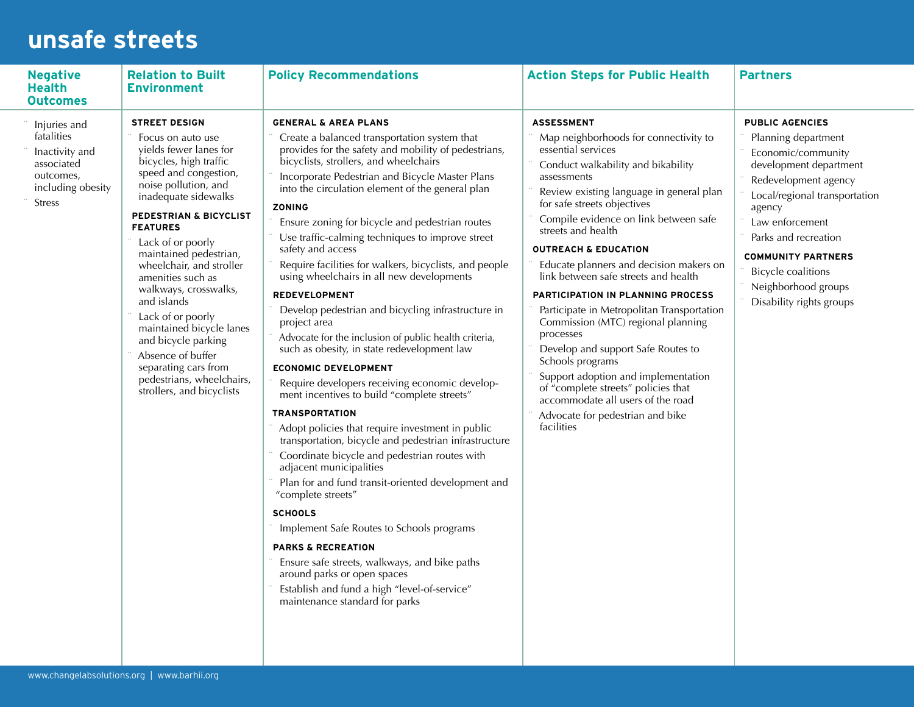#### **unsafe streets**

| <b>Negative</b><br><b>Health</b><br><b>Outcomes</b>                                                           | <b>Relation to Built</b><br><b>Environment</b>                                                                                                                                                                                                                                                                                                                                                                                                                                                                                             | <b>Policy Recommendations</b>                                                                                                                                                                                                                                                                                                                                                                                                                                                                                                                                                                                                                                                                                                                                                                                                                                                                                                                                                                                                                                                                                                                                                                                                                                                                                                                                                                                                                      | <b>Action Steps for Public Health</b>                                                                                                                                                                                                                                                                                                                                                                                                                                                                                                                                                                                                                                                                                                                                      | <b>Partners</b>                                                                                                                                                                                                                                                                                                          |
|---------------------------------------------------------------------------------------------------------------|--------------------------------------------------------------------------------------------------------------------------------------------------------------------------------------------------------------------------------------------------------------------------------------------------------------------------------------------------------------------------------------------------------------------------------------------------------------------------------------------------------------------------------------------|----------------------------------------------------------------------------------------------------------------------------------------------------------------------------------------------------------------------------------------------------------------------------------------------------------------------------------------------------------------------------------------------------------------------------------------------------------------------------------------------------------------------------------------------------------------------------------------------------------------------------------------------------------------------------------------------------------------------------------------------------------------------------------------------------------------------------------------------------------------------------------------------------------------------------------------------------------------------------------------------------------------------------------------------------------------------------------------------------------------------------------------------------------------------------------------------------------------------------------------------------------------------------------------------------------------------------------------------------------------------------------------------------------------------------------------------------|----------------------------------------------------------------------------------------------------------------------------------------------------------------------------------------------------------------------------------------------------------------------------------------------------------------------------------------------------------------------------------------------------------------------------------------------------------------------------------------------------------------------------------------------------------------------------------------------------------------------------------------------------------------------------------------------------------------------------------------------------------------------------|--------------------------------------------------------------------------------------------------------------------------------------------------------------------------------------------------------------------------------------------------------------------------------------------------------------------------|
| Injuries and<br>fatalities<br>Inactivity and<br>associated<br>outcomes,<br>including obesity<br><b>Stress</b> | <b>STREET DESIGN</b><br>Focus on auto use<br>vields fewer lanes for<br>bicycles, high traffic<br>speed and congestion,<br>noise pollution, and<br>inadequate sidewalks<br>PEDESTRIAN & BICYCLIST<br><b>FEATURES</b><br>Lack of or poorly<br>maintained pedestrian,<br>wheelchair, and stroller<br>amenities such as<br>walkways, crosswalks,<br>and islands<br>Lack of or poorly<br>maintained bicycle lanes<br>and bicycle parking<br>Absence of buffer<br>separating cars from<br>pedestrians, wheelchairs,<br>strollers, and bicyclists | <b>GENERAL &amp; AREA PLANS</b><br>Create a balanced transportation system that<br>provides for the safety and mobility of pedestrians,<br>bicyclists, strollers, and wheelchairs<br>Incorporate Pedestrian and Bicycle Master Plans<br>into the circulation element of the general plan<br><b>ZONING</b><br>Ensure zoning for bicycle and pedestrian routes<br>Use traffic-calming techniques to improve street<br>safety and access<br>Require facilities for walkers, bicyclists, and people<br>using wheelchairs in all new developments<br><b>REDEVELOPMENT</b><br>Develop pedestrian and bicycling infrastructure in<br>project area<br>Advocate for the inclusion of public health criteria,<br>such as obesity, in state redevelopment law<br><b>ECONOMIC DEVELOPMENT</b><br>Require developers receiving economic develop-<br>ment incentives to build "complete streets"<br><b>TRANSPORTATION</b><br>Adopt policies that require investment in public<br>transportation, bicycle and pedestrian infrastructure<br>Coordinate bicycle and pedestrian routes with<br>adjacent municipalities<br>Plan for and fund transit-oriented development and<br>"complete streets"<br><b>SCHOOLS</b><br>Implement Safe Routes to Schools programs<br><b>PARKS &amp; RECREATION</b><br>Ensure safe streets, walkways, and bike paths<br>around parks or open spaces<br>Establish and fund a high "level-of-service"<br>maintenance standard for parks | <b>ASSESSMENT</b><br>Map neighborhoods for connectivity to<br>essential services<br>Conduct walkability and bikability<br>assessments<br>Review existing language in general plan<br>for safe streets objectives<br>Compile evidence on link between safe<br>streets and health<br><b>OUTREACH &amp; EDUCATION</b><br>Educate planners and decision makers on<br>link between safe streets and health<br>PARTICIPATION IN PLANNING PROCESS<br>Participate in Metropolitan Transportation<br>Commission (MTC) regional planning<br>processes<br>Develop and support Safe Routes to<br>Schools programs<br>Support adoption and implementation<br>of "complete streets" policies that<br>accommodate all users of the road<br>Advocate for pedestrian and bike<br>facilities | <b>PUBLIC AGENCIES</b><br>Planning department<br>Economic/community<br>development department<br>Redevelopment agency<br>Local/regional transportation<br>agency<br>Law enforcement<br>Parks and recreation<br><b>COMMUNITY PARTNERS</b><br><b>Bicycle coalitions</b><br>Neighborhood groups<br>Disability rights groups |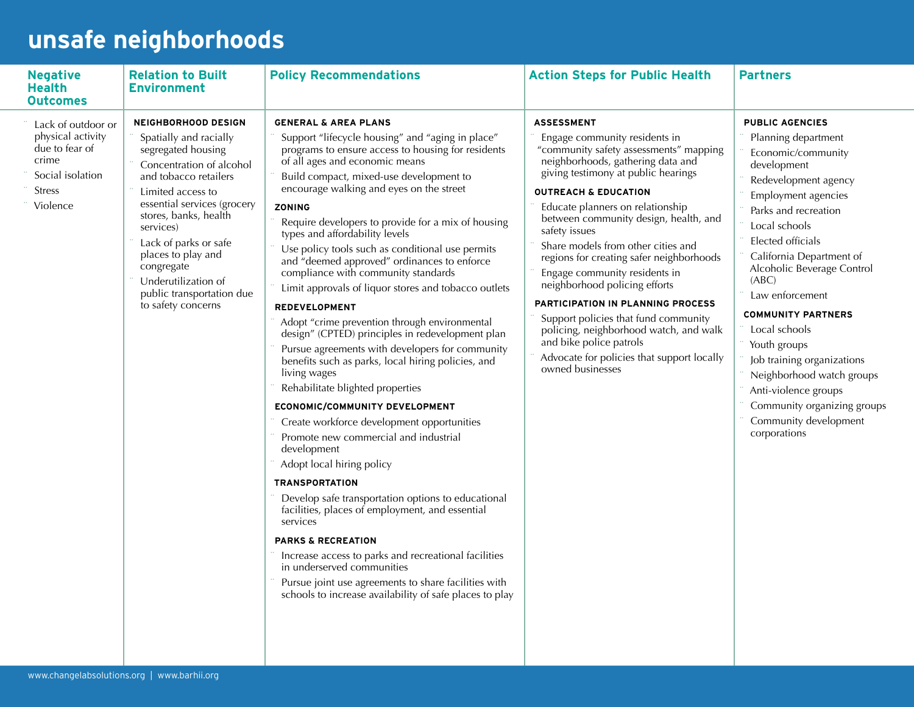# **unsafe neighborhoods**

| <b>Negative</b><br><b>Health</b><br><b>Outcomes</b>                                                                 | <b>Relation to Built</b><br><b>Environment</b>                                                                                                                                                                                                                                                                                                                   | <b>Policy Recommendations</b>                                                                                                                                                                                                                                                                                                                                                                                                                                                                                                                                                                                                                                                                                                                                                                                                                                                                                                                                                                                                                                                                                                                                                                                                                                                                                                                                                                                                        | <b>Action Steps for Public Health</b>                                                                                                                                                                                                                                                                                                                                                                                                                                                                                                                                                                                                                                             | <b>Partners</b>                                                                                                                                                                                                                                                                                                                                                                                                                                                                                                |
|---------------------------------------------------------------------------------------------------------------------|------------------------------------------------------------------------------------------------------------------------------------------------------------------------------------------------------------------------------------------------------------------------------------------------------------------------------------------------------------------|--------------------------------------------------------------------------------------------------------------------------------------------------------------------------------------------------------------------------------------------------------------------------------------------------------------------------------------------------------------------------------------------------------------------------------------------------------------------------------------------------------------------------------------------------------------------------------------------------------------------------------------------------------------------------------------------------------------------------------------------------------------------------------------------------------------------------------------------------------------------------------------------------------------------------------------------------------------------------------------------------------------------------------------------------------------------------------------------------------------------------------------------------------------------------------------------------------------------------------------------------------------------------------------------------------------------------------------------------------------------------------------------------------------------------------------|-----------------------------------------------------------------------------------------------------------------------------------------------------------------------------------------------------------------------------------------------------------------------------------------------------------------------------------------------------------------------------------------------------------------------------------------------------------------------------------------------------------------------------------------------------------------------------------------------------------------------------------------------------------------------------------|----------------------------------------------------------------------------------------------------------------------------------------------------------------------------------------------------------------------------------------------------------------------------------------------------------------------------------------------------------------------------------------------------------------------------------------------------------------------------------------------------------------|
| Lack of outdoor or<br>physical activity<br>due to fear of<br>crime<br>Social isolation<br><b>Stress</b><br>Violence | <b>NEIGHBORHOOD DESIGN</b><br>Spatially and racially<br>segregated housing<br>Concentration of alcohol<br>and tobacco retailers<br>Limited access to<br>essential services (grocery<br>stores, banks, health<br>services)<br>Lack of parks or safe<br>places to play and<br>congregate<br>Underutilization of<br>public transportation due<br>to safety concerns | <b>GENERAL &amp; AREA PLANS</b><br>Support "lifecycle housing" and "aging in place"<br>programs to ensure access to housing for residents<br>of all ages and economic means<br>Build compact, mixed-use development to<br>encourage walking and eyes on the street<br><b>ZONING</b><br>Require developers to provide for a mix of housing<br>types and affordability levels<br>Use policy tools such as conditional use permits<br>and "deemed approved" ordinances to enforce<br>compliance with community standards<br>Limit approvals of liquor stores and tobacco outlets<br><b>REDEVELOPMENT</b><br>Adopt "crime prevention through environmental<br>design" (CPTED) principles in redevelopment plan<br>Pursue agreements with developers for community<br>benefits such as parks, local hiring policies, and<br>living wages<br>Rehabilitate blighted properties<br>ECONOMIC/COMMUNITY DEVELOPMENT<br>Create workforce development opportunities<br>Promote new commercial and industrial<br>development<br>Adopt local hiring policy<br><b>TRANSPORTATION</b><br>Develop safe transportation options to educational<br>facilities, places of employment, and essential<br>services<br><b>PARKS &amp; RECREATION</b><br>Increase access to parks and recreational facilities<br>in underserved communities<br>Pursue joint use agreements to share facilities with<br>schools to increase availability of safe places to play | <b>ASSESSMENT</b><br>Engage community residents in<br>"community safety assessments" mapping<br>neighborhoods, gathering data and<br>giving testimony at public hearings<br><b>OUTREACH &amp; EDUCATION</b><br>Educate planners on relationship<br>between community design, health, and<br>safety issues<br>Share models from other cities and<br>regions for creating safer neighborhoods<br>Engage community residents in<br>neighborhood policing efforts<br>PARTICIPATION IN PLANNING PROCESS<br>Support policies that fund community<br>policing, neighborhood watch, and walk<br>and bike police patrols<br>Advocate for policies that support locally<br>owned businesses | <b>PUBLIC AGENCIES</b><br>Planning department<br>Economic/community<br>development<br>Redevelopment agency<br>Employment agencies<br>Parks and recreation<br>Local schools<br>Elected officials<br>California Department of<br>Alcoholic Beverage Control<br>(ABC)<br>Law enforcement<br><b>COMMUNITY PARTNERS</b><br>Local schools<br>Youth groups<br>Job training organizations<br>Neighborhood watch groups<br>Anti-violence groups<br>Community organizing groups<br>Community development<br>corporations |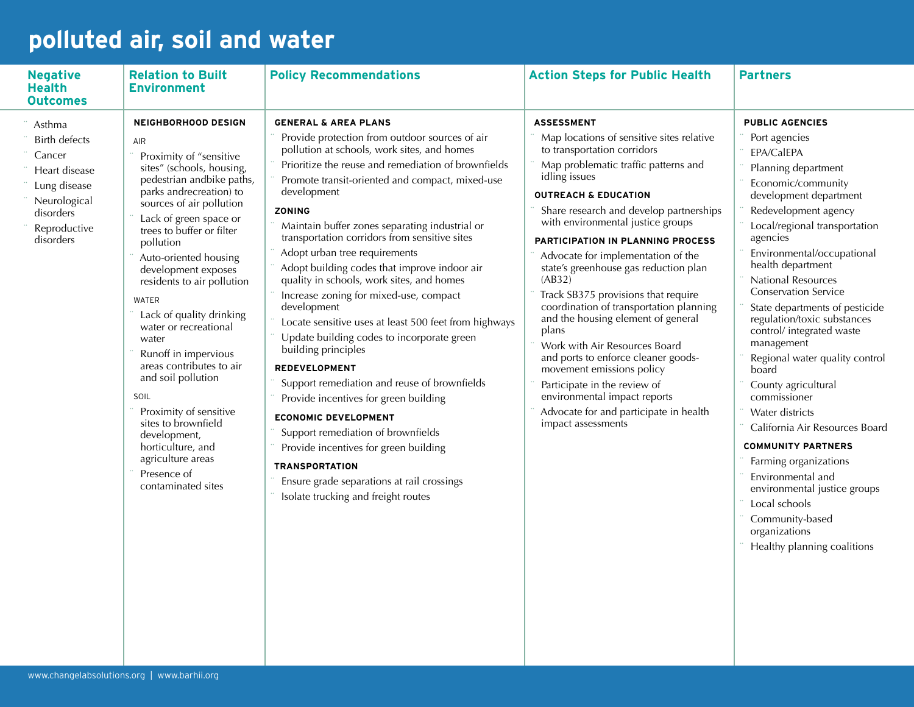## **polluted air, soil and water**

| <b>Negative</b><br><b>Health</b><br><b>Outcomes</b>                                                                                 | <b>Relation to Built</b><br><b>Environment</b>                                                                                                                                                                                                                                                                                                                                                                                                                                                                                                                                                                                                  | <b>Policy Recommendations</b>                                                                                                                                                                                                                                                                                                                                                                                                                                                                                                                                                                                                                                                                                                                                                                                                                                                                                                                                                                                                            | <b>Action Steps for Public Health</b>                                                                                                                                                                                                                                                                                                                                                                                                                                                                                                                                                                                                                                                                                                                                         | <b>Partners</b>                                                                                                                                                                                                                                                                                                                                                                                                                                                                                                                                                                                                                                                                                                                                             |
|-------------------------------------------------------------------------------------------------------------------------------------|-------------------------------------------------------------------------------------------------------------------------------------------------------------------------------------------------------------------------------------------------------------------------------------------------------------------------------------------------------------------------------------------------------------------------------------------------------------------------------------------------------------------------------------------------------------------------------------------------------------------------------------------------|------------------------------------------------------------------------------------------------------------------------------------------------------------------------------------------------------------------------------------------------------------------------------------------------------------------------------------------------------------------------------------------------------------------------------------------------------------------------------------------------------------------------------------------------------------------------------------------------------------------------------------------------------------------------------------------------------------------------------------------------------------------------------------------------------------------------------------------------------------------------------------------------------------------------------------------------------------------------------------------------------------------------------------------|-------------------------------------------------------------------------------------------------------------------------------------------------------------------------------------------------------------------------------------------------------------------------------------------------------------------------------------------------------------------------------------------------------------------------------------------------------------------------------------------------------------------------------------------------------------------------------------------------------------------------------------------------------------------------------------------------------------------------------------------------------------------------------|-------------------------------------------------------------------------------------------------------------------------------------------------------------------------------------------------------------------------------------------------------------------------------------------------------------------------------------------------------------------------------------------------------------------------------------------------------------------------------------------------------------------------------------------------------------------------------------------------------------------------------------------------------------------------------------------------------------------------------------------------------------|
| Asthma<br><b>Birth defects</b><br>Cancer<br>Heart disease<br>Lung disease<br>Neurological<br>disorders<br>Reproductive<br>disorders | <b>NEIGHBORHOOD DESIGN</b><br>AIR<br>Proximity of "sensitive<br>sites" (schools, housing,<br>pedestrian andbike paths,<br>parks andrecreation) to<br>sources of air pollution<br>Lack of green space or<br>trees to buffer or filter<br>pollution<br>Auto-oriented housing<br>development exposes<br>residents to air pollution<br><b>WATER</b><br>Lack of quality drinking<br>water or recreational<br>water<br>Runoff in impervious<br>areas contributes to air<br>and soil pollution<br>SOIL<br>Proximity of sensitive<br>sites to brownfield<br>development,<br>horticulture, and<br>agriculture areas<br>Presence of<br>contaminated sites | <b>GENERAL &amp; AREA PLANS</b><br>Provide protection from outdoor sources of air<br>pollution at schools, work sites, and homes<br>Prioritize the reuse and remediation of brownfields<br>Promote transit-oriented and compact, mixed-use<br>development<br>ZONING<br>Maintain buffer zones separating industrial or<br>transportation corridors from sensitive sites<br>Adopt urban tree requirements<br>Adopt building codes that improve indoor air<br>quality in schools, work sites, and homes<br>Increase zoning for mixed-use, compact<br>development<br>Locate sensitive uses at least 500 feet from highways<br>Update building codes to incorporate green<br>building principles<br><b>REDEVELOPMENT</b><br>Support remediation and reuse of brownfields<br>Provide incentives for green building<br><b>ECONOMIC DEVELOPMENT</b><br>Support remediation of brownfields<br>Provide incentives for green building<br><b>TRANSPORTATION</b><br>Ensure grade separations at rail crossings<br>Isolate trucking and freight routes | <b>ASSESSMENT</b><br>Map locations of sensitive sites relative<br>to transportation corridors<br>Map problematic traffic patterns and<br>idling issues<br><b>OUTREACH &amp; EDUCATION</b><br>Share research and develop partnerships<br>with environmental justice groups<br>PARTICIPATION IN PLANNING PROCESS<br>Advocate for implementation of the<br>state's greenhouse gas reduction plan<br>(AB32)<br>Track SB375 provisions that require<br>coordination of transportation planning<br>and the housing element of general<br>plans<br>Work with Air Resources Board<br>and ports to enforce cleaner goods-<br>movement emissions policy<br>Participate in the review of<br>environmental impact reports<br>Advocate for and participate in health<br>impact assessments | <b>PUBLIC AGENCIES</b><br>Port agencies<br>EPA/CalEPA<br>Planning department<br>Economic/community<br>development department<br>Redevelopment agency<br>Local/regional transportation<br>agencies<br>Environmental/occupational<br>health department<br>National Resources<br><b>Conservation Service</b><br>State departments of pesticide<br>regulation/toxic substances<br>control/ integrated waste<br>management<br>Regional water quality control<br>board<br>County agricultural<br>commissioner<br>Water districts<br>California Air Resources Board<br><b>COMMUNITY PARTNERS</b><br>Farming organizations<br>Environmental and<br>environmental justice groups<br>Local schools<br>Community-based<br>organizations<br>Healthy planning coalitions |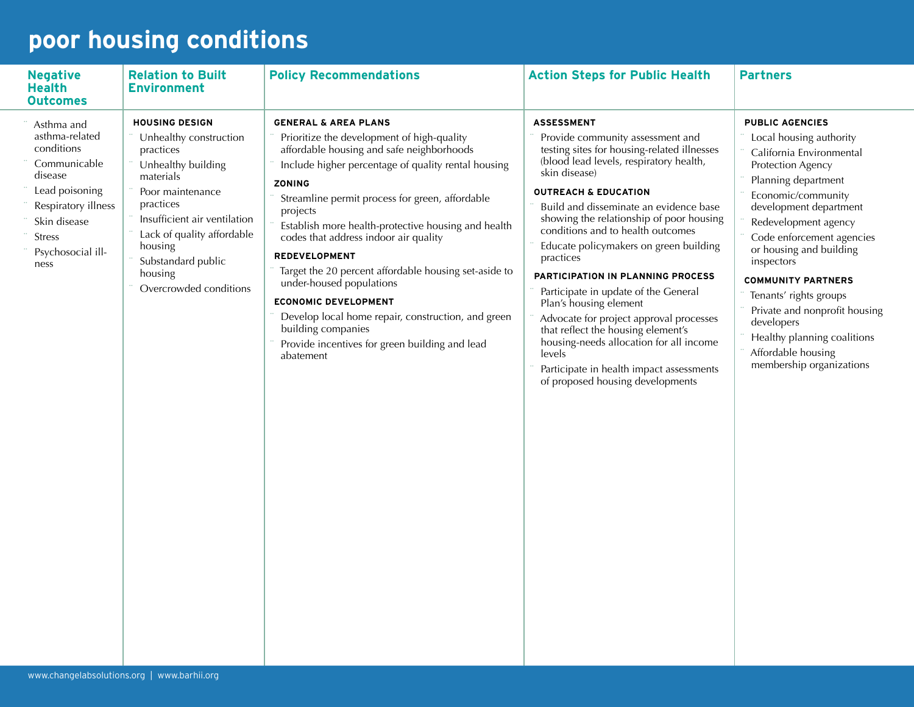# **poor housing conditions**

| <b>Negative</b><br><b>Health</b><br><b>Outcomes</b>                                                                                                                          | <b>Relation to Built</b><br><b>Environment</b>                                                                                                                                                                                                                       | <b>Policy Recommendations</b>                                                                                                                                                                                                                                                                                                                                                                                                                                                                                                                                                                                                                            | <b>Action Steps for Public Health</b>                                                                                                                                                                                                                                                                                                                                                                                                                                                                                                                                                                                                                                                                                     | <b>Partners</b>                                                                                                                                                                                                                                                                                                                                                                                                                                                |
|------------------------------------------------------------------------------------------------------------------------------------------------------------------------------|----------------------------------------------------------------------------------------------------------------------------------------------------------------------------------------------------------------------------------------------------------------------|----------------------------------------------------------------------------------------------------------------------------------------------------------------------------------------------------------------------------------------------------------------------------------------------------------------------------------------------------------------------------------------------------------------------------------------------------------------------------------------------------------------------------------------------------------------------------------------------------------------------------------------------------------|---------------------------------------------------------------------------------------------------------------------------------------------------------------------------------------------------------------------------------------------------------------------------------------------------------------------------------------------------------------------------------------------------------------------------------------------------------------------------------------------------------------------------------------------------------------------------------------------------------------------------------------------------------------------------------------------------------------------------|----------------------------------------------------------------------------------------------------------------------------------------------------------------------------------------------------------------------------------------------------------------------------------------------------------------------------------------------------------------------------------------------------------------------------------------------------------------|
| Asthma and<br>asthma-related<br>conditions<br>Communicable<br>disease<br>Lead poisoning<br>Respiratory illness<br>Skin disease<br><b>Stress</b><br>Psychosocial ill-<br>ness | <b>HOUSING DESIGN</b><br>Unhealthy construction<br>practices<br>Unhealthy building<br>materials<br>Poor maintenance<br>practices<br>Insufficient air ventilation<br>Lack of quality affordable<br>housing<br>Substandard public<br>housing<br>Overcrowded conditions | <b>GENERAL &amp; AREA PLANS</b><br>Prioritize the development of high-quality<br>affordable housing and safe neighborhoods<br>Include higher percentage of quality rental housing<br><b>ZONING</b><br>Streamline permit process for green, affordable<br>projects<br>Establish more health-protective housing and health<br>codes that address indoor air quality<br><b>REDEVELOPMENT</b><br>Target the 20 percent affordable housing set-aside to<br>under-housed populations<br><b>ECONOMIC DEVELOPMENT</b><br>Develop local home repair, construction, and green<br>building companies<br>Provide incentives for green building and lead<br>abatement | <b>ASSESSMENT</b><br>Provide community assessment and<br>testing sites for housing-related illnesses<br>(blood lead levels, respiratory health,<br>skin disease)<br><b>OUTREACH &amp; EDUCATION</b><br>Build and disseminate an evidence base<br>showing the relationship of poor housing<br>conditions and to health outcomes<br>Educate policymakers on green building<br>practices<br><b>PARTICIPATION IN PLANNING PROCESS</b><br>Participate in update of the General<br>Plan's housing element<br>Advocate for project approval processes<br>that reflect the housing element's<br>housing-needs allocation for all income<br>levels<br>Participate in health impact assessments<br>of proposed housing developments | <b>PUBLIC AGENCIES</b><br>Local housing authority<br>California Environmental<br>Protection Agency<br>Planning department<br>Economic/community<br>development department<br>Redevelopment agency<br>Code enforcement agencies<br>or housing and building<br>inspectors<br><b>COMMUNITY PARTNERS</b><br>Tenants' rights groups<br>Private and nonprofit housing<br>developers<br>Healthy planning coalitions<br>Affordable housing<br>membership organizations |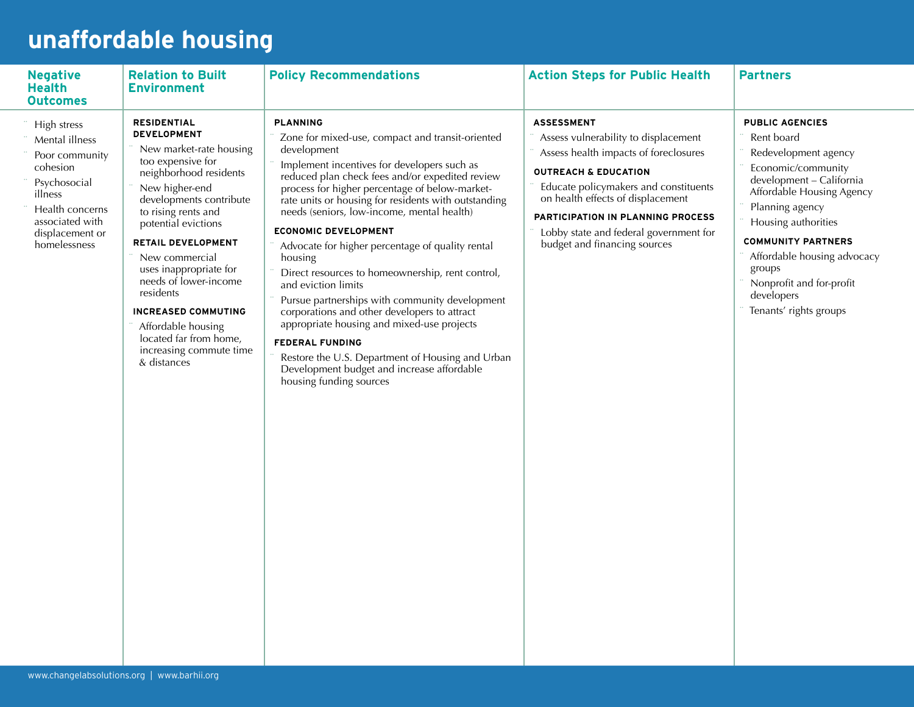## **unaffordable housing**

| <b>Negative</b><br><b>Health</b><br><b>Outcomes</b>                                                                                                             | <b>Relation to Built</b><br><b>Environment</b>                                                                                                                                                                                                                                                                                                                                                                                                | <b>Policy Recommendations</b>                                                                                                                                                                                                                                                                                                                                                                                                                                                                                                                                                                                                                                                                                                                                                                                                | <b>Action Steps for Public Health</b>                                                                                                                                                                                                                                                                                              | <b>Partners</b>                                                                                                                                                                                                                                                                                                                 |
|-----------------------------------------------------------------------------------------------------------------------------------------------------------------|-----------------------------------------------------------------------------------------------------------------------------------------------------------------------------------------------------------------------------------------------------------------------------------------------------------------------------------------------------------------------------------------------------------------------------------------------|------------------------------------------------------------------------------------------------------------------------------------------------------------------------------------------------------------------------------------------------------------------------------------------------------------------------------------------------------------------------------------------------------------------------------------------------------------------------------------------------------------------------------------------------------------------------------------------------------------------------------------------------------------------------------------------------------------------------------------------------------------------------------------------------------------------------------|------------------------------------------------------------------------------------------------------------------------------------------------------------------------------------------------------------------------------------------------------------------------------------------------------------------------------------|---------------------------------------------------------------------------------------------------------------------------------------------------------------------------------------------------------------------------------------------------------------------------------------------------------------------------------|
| High stress<br>Mental illness<br>Poor community<br>cohesion<br>Psychosocial<br>illness<br>Health concerns<br>associated with<br>displacement or<br>homelessness | <b>RESIDENTIAL</b><br><b>DEVELOPMENT</b><br>New market-rate housing<br>too expensive for<br>neighborhood residents<br>New higher-end<br>developments contribute<br>to rising rents and<br>potential evictions<br>RETAIL DEVELOPMENT<br>New commercial<br>uses inappropriate for<br>needs of lower-income<br>residents<br><b>INCREASED COMMUTING</b><br>Affordable housing<br>located far from home,<br>increasing commute time<br>& distances | <b>PLANNING</b><br>Zone for mixed-use, compact and transit-oriented<br>development<br>Implement incentives for developers such as<br>reduced plan check fees and/or expedited review<br>process for higher percentage of below-market-<br>rate units or housing for residents with outstanding<br>needs (seniors, low-income, mental health)<br><b>ECONOMIC DEVELOPMENT</b><br>Advocate for higher percentage of quality rental<br>housing<br>Direct resources to homeownership, rent control,<br>and eviction limits<br>Pursue partnerships with community development<br>corporations and other developers to attract<br>appropriate housing and mixed-use projects<br><b>FEDERAL FUNDING</b><br>Restore the U.S. Department of Housing and Urban<br>Development budget and increase affordable<br>housing funding sources | <b>ASSESSMENT</b><br>Assess vulnerability to displacement<br>Assess health impacts of foreclosures<br><b>OUTREACH &amp; EDUCATION</b><br>Educate policymakers and constituents<br>on health effects of displacement<br>PARTICIPATION IN PLANNING PROCESS<br>Lobby state and federal government for<br>budget and financing sources | <b>PUBLIC AGENCIES</b><br>Rent board<br>Redevelopment agency<br>Economic/community<br>development - California<br>Affordable Housing Agency<br>Planning agency<br>Housing authorities<br><b>COMMUNITY PARTNERS</b><br>Affordable housing advocacy<br>groups<br>Nonprofit and for-profit<br>developers<br>Tenants' rights groups |